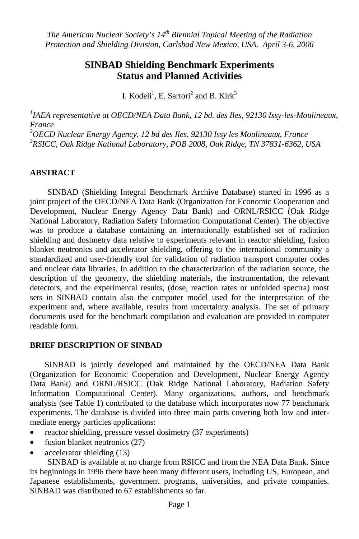# **SINBAD Shielding Benchmark Experiments Status and Planned Activities**

I. Kodeli<sup>1</sup>, E. Sartori<sup>2</sup> and B. Kirk<sup>3</sup>

<sup>1</sup>IAEA representative at OECD/NEA Data Bank, 12 bd. des Iles, 92130 Issy-les-Moulineaux, *France* 

*2 OECD Nuclear Energy Agency, 12 bd des Iles, 92130 Issy les Moulineaux, France 3 RSICC, Oak Ridge National Laboratory, POB 2008, Oak Ridge, TN 37831-6362, USA* 

### **ABSTRACT**

SINBAD (Shielding Integral Benchmark Archive Database) started in 1996 as a joint project of the OECD/NEA Data Bank (Organization for Economic Cooperation and Development, Nuclear Energy Agency Data Bank) and ORNL/RSICC (Oak Ridge National Laboratory, Radiation Safety Information Computational Center). The objective was to produce a database containing an internationally established set of radiation shielding and dosimetry data relative to experiments relevant in reactor shielding, fusion blanket neutronics and accelerator shielding, offering to the international community a standardized and user-friendly tool for validation of radiation transport computer codes and nuclear data libraries. In addition to the characterization of the radiation source, the description of the geometry, the shielding materials, the instrumentation, the relevant detectors, and the experimental results, (dose, reaction rates or unfolded spectra) most sets in SINBAD contain also the computer model used for the interpretation of the experiment and, where available, results from uncertainty analysis. The set of primary documents used for the benchmark compilation and evaluation are provided in computer readable form.

#### **BRIEF DESCRIPTION OF SINBAD**

SINBAD is jointly developed and maintained by the OECD/NEA Data Bank (Organization for Economic Cooperation and Development, Nuclear Energy Agency Data Bank) and ORNL/RSICC (Oak Ridge National Laboratory, Radiation Safety Information Computational Center). Many organizations, authors, and benchmark analysts (see Table 1) contributed to the database which incorporates now 77 benchmark experiments. The database is divided into three main parts covering both low and intermediate energy particles applications:

- reactor shielding, pressure vessel dosimetry (37 experiments)
- fusion blanket neutronics (27)
- accelerator shielding (13)

SINBAD is available at no charge from RSICC and from the NEA Data Bank. Since its beginnings in 1996 there have been many different users, including US, European, and Japanese establishments, government programs, universities, and private companies. SINBAD was distributed to 67 establishments so far.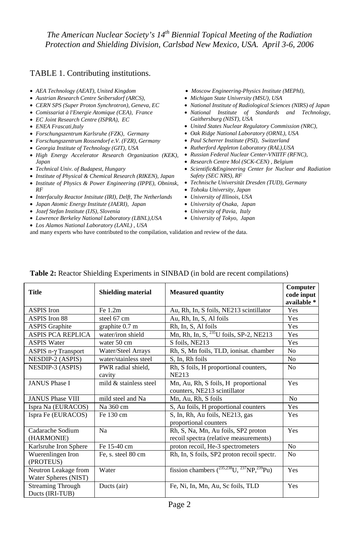### TABLE 1. Contributing institutions.

- *AEA Technology (AEAT), United Kingdom*
- *Austrian Research Centre Seibersdorf (ARCS),*
- *CERN SPS (Super Proton Synchrotron), Geneva, EC*
- *Comissariat à l'Energie Atomique (CEA), France*
- *EC Joint Research Centre (ISPRA), EC*
- *ENEA Frascati,Italy*
- *Forschungszentrum Karlsruhe (FZK), Germany*
- *Forschungszentrum Rossendorf e.V. (FZR), Germany*
- *Georgia Institute of Technology (GIT), USA*
- High Energy Accelerator Research Organization (KEK), Russian Federal Nuclear Center-VNIITF (RFNC), *Japan*
- *Technical Univ. of Budapest, Hungary*
- *Institute of Physical & Chemical Research (RIKEN), Japan*
- *Institute of Physics & Power Engineering (IPPE), Obninsk, RF*
- *Interfaculty Reactor Intsitute (IRI), Delft, The Netherlands*
- *Japan Atomic Energy Institute (JAERI), Japan*
- *Jozef Stefan Institute (IJS), Slovenia*
- *Lawrence Berkeley National Laboratory (LBNL),USA*
- *Los Alamos National Laboratory (LANL) , USA* and many experts who have contributed to the compilation, validation and review of the data.
- *Moscow Engineering-Physics Institute (MEPhI),*
- *Michigan State University (MSU), USA*
- *National Institute of Radiological Sciences (NIRS) of Japan*
- *National Institute of Standards and Technology, Gaithersburg (NIST), USA*
- *United States Nuclear Regulatory Commission (NRC),*
- *Oak Ridge National Laboratory (ORNL), USA*
- *Paul Scherrer Institute (PSI), Switzerland*
- *Rutherford Appleton Laboratory (RAL),USA*
- 
- *Research Centre Mol (SCK-CEN) , Belgium*
- *Scientific&Engineering Center for Nuclear and Radiation Safety (SEC NRS), RF*
- *Technische Universität Dresden (TUD), Germany*
- *Tohoku University, Japan*
- *University of Illinois, USA*
- *University of Osaka, Japan*
- *University of Pavia, Italy*
- *University of Tokyo, Japan*

| <b>Title</b>                                 | <b>Shielding material</b>    | <b>Measured quantity</b>                                                      | Computer<br>code input<br>available * |
|----------------------------------------------|------------------------------|-------------------------------------------------------------------------------|---------------------------------------|
| <b>ASPIS</b> Iron                            | Fe 1.2m                      | Au, Rh, In, S foils, NE213 scintillator                                       | <b>Yes</b>                            |
| <b>ASPIS Iron 88</b>                         | steel 67 cm                  | Au, Rh, In, S, Al foils                                                       | Yes                                   |
| <b>ASPIS Graphite</b>                        | graphite 0.7 m               | Rh, In, S, Al foils                                                           | Yes                                   |
| <b>ASPIS PCA REPLICA</b>                     | water/iron shield            | Mn, Rh, In, S, <sup>235</sup> U foils, SP-2, NE213                            | Yes                                   |
| <b>ASPIS Water</b>                           | water 50 cm                  | S foils, NE213                                                                | Yes                                   |
| $ASPIS$ n- $\gamma$ Transport                | Water/Steel Arrays           | Rh, S, Mn foils, TLD, ionisat. chamber                                        | N <sub>0</sub>                        |
| NESDIP-2 (ASPIS)                             | water/stainless steel        | S, In, Rh foils                                                               | N <sub>0</sub>                        |
| NESDIP-3 (ASPIS)                             | PWR radial shield,<br>cavity | Rh, S foils, H proportional counters,<br>NE213                                | N <sub>0</sub>                        |
| <b>JANUS Phase I</b>                         | mild $\&$ stainless steel    | Mn, Au, Rh, S foils, H proportional<br>counters, NE213 scintillator           | Yes                                   |
| <b>JANUS Phase VIII</b>                      | mild steel and Na            | Mn, Au, Rh, S foils                                                           | N <sub>0</sub>                        |
| Ispra Na (EURACOS)                           | Na 360 cm                    | S, Au foils, H proportional counters                                          | Yes                                   |
| Ispra Fe (EURACOS)                           | Fe 130 cm                    | S, In, Rh, Au foils, NE213, gas<br>proportional counters                      | Yes                                   |
| Cadarache Sodium<br>(HARMONIE)               | Na                           | Rh, S, Na, Mn, Au foils, SP2 proton<br>recoil spectra (relative measurements) | Yes                                   |
| Karlsruhe Iron Sphere                        | Fe 15-40 cm                  | proton recoil, He-3 spectrometers                                             | N <sub>0</sub>                        |
| Wuerenlingen Iron<br>(PROTEUS)               | Fe, s. steel 80 cm           | Rh, In, S foils, SP2 proton recoil spectr.                                    | N <sub>0</sub>                        |
| Neutron Leakage from<br>Water Spheres (NIST) | Water                        | fission chambers $(^{235,238}U, ^{237}NP, ^{239}Pu)$                          | Yes                                   |
| <b>Streaming Through</b><br>Ducts (IRI-TUB)  | Ducts (air)                  | Fe, Ni, In, Mn, Au, Sc foils, TLD                                             | Yes                                   |

#### **Table 2:** Reactor Shielding Experiments in SINBAD (in bold are recent compilations)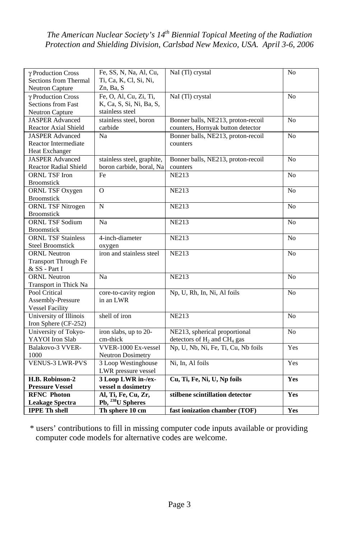| γ Production Cross                              | Fe, SS, N, Na, Al, Cu,              | NaI (Tl) crystal                    | N <sub>0</sub> |
|-------------------------------------------------|-------------------------------------|-------------------------------------|----------------|
| Sections from Thermal<br><b>Neutron Capture</b> | Ti, Ca, K, Cl, Si, Ni,<br>Zn, Ba, S |                                     |                |
| γ Production Cross                              | Fe, O, Al, Cu, Zi, Ti,              | NaI (Tl) crystal                    | N <sub>o</sub> |
| <b>Sections from Fast</b>                       | K, Ca, S, Si, Ni, Ba, S,            |                                     |                |
|                                                 | stainless steel                     |                                     |                |
| Neutron Capture                                 |                                     |                                     |                |
| <b>JASPER Advanced</b>                          | stainless steel, boron              | Bonner balls, NE213, proton-recoil  | No             |
| <b>Reactor Axial Shield</b>                     | carbide                             | counters, Hornyak button detector   |                |
| <b>JASPER Advanced</b>                          | Na                                  | Bonner balls, NE213, proton-recoil  | N <sub>o</sub> |
| <b>Reactor Intermediate</b>                     |                                     | counters                            |                |
| <b>Heat Exchanger</b>                           |                                     |                                     |                |
| <b>JASPER Advanced</b>                          | stainless steel, graphite,          | Bonner balls, NE213, proton-recoil  | N <sub>0</sub> |
| <b>Reactor Radial Shield</b>                    | boron carbide, boral, Na            | counters                            |                |
| <b>ORNL TSF Iron</b>                            | Fe                                  | <b>NE213</b>                        | N <sub>0</sub> |
| <b>Broomstick</b>                               |                                     |                                     |                |
| ORNL TSF Oxygen                                 | $\Omega$                            | <b>NE213</b>                        | N <sub>o</sub> |
| <b>Broomstick</b>                               |                                     |                                     |                |
| <b>ORNL TSF Nitrogen</b>                        | N                                   | <b>NE213</b>                        | N <sub>o</sub> |
| <b>Broomstick</b>                               |                                     |                                     |                |
| <b>ORNL TSF Sodium</b>                          | Na                                  | <b>NE213</b>                        | N <sub>0</sub> |
| <b>Broomstick</b>                               |                                     |                                     |                |
| <b>ORNL TSF Stainless</b>                       | 4-inch-diameter                     | <b>NE213</b>                        | N <sub>0</sub> |
| <b>Steel Broomstick</b>                         | oxygen                              |                                     |                |
| <b>ORNL Neutron</b>                             | iron and stainless steel            | <b>NE213</b>                        | N <sub>0</sub> |
| Transport Through Fe                            |                                     |                                     |                |
| & SS - Part I                                   |                                     |                                     |                |
| <b>ORNL Neutron</b>                             | Na                                  | <b>NE213</b>                        | N <sub>o</sub> |
| Transport in Thick Na                           |                                     |                                     |                |
| Pool Critical                                   | core-to-cavity region               | Np, U, Rh, In, Ni, Al foils         | N <sub>0</sub> |
| Assembly-Pressure                               | in an LWR                           |                                     |                |
| <b>Vessel Facility</b>                          |                                     |                                     |                |
| University of Illinois                          | shell of iron                       | <b>NE213</b>                        | No             |
| Iron Sphere (CF-252)                            |                                     |                                     |                |
| University of Tokyo-                            | iron slabs, up to $20-$             | NE213, spherical proportional       | N <sub>0</sub> |
| YAYOI Iron Slab                                 | cm-thick                            | detectors of $H_2$ and $CH_4$ gas   |                |
| Balakovo-3 VVER-                                | VVER-1000 Ex-vessel                 | Np, U, Nb, Ni, Fe, Ti, Cu, Nb foils | Yes            |
| 1000                                            | <b>Neutron Dosimetry</b>            |                                     |                |
| <b>VENUS-3 LWR-PVS</b>                          | 3 Loop Westinghouse                 | Ni, In, Al foils                    | <b>Yes</b>     |
|                                                 | LWR pressure vessel                 |                                     |                |
| H.B. Robinson-2                                 | 3 Loop LWR in-/ex-                  | Cu, Ti, Fe, Ni, U, Np foils         | <b>Yes</b>     |
| <b>Pressure Vessel</b>                          | vessel n dosimetry                  |                                     |                |
| <b>RFNC Photon</b>                              | Al, Ti, Fe, Cu, Zr,                 | stilbene scintillation detector     | Yes            |
| <b>Leakage Spectra</b>                          | Pb, <sup>238</sup> U Spheres        |                                     |                |
| <b>IPPE Th shell</b>                            | Th sphere 10 cm                     | fast ionization chamber (TOF)       | Yes            |

\* users' contributions to fill in missing computer code inputs available or providing computer code models for alternative codes are welcome.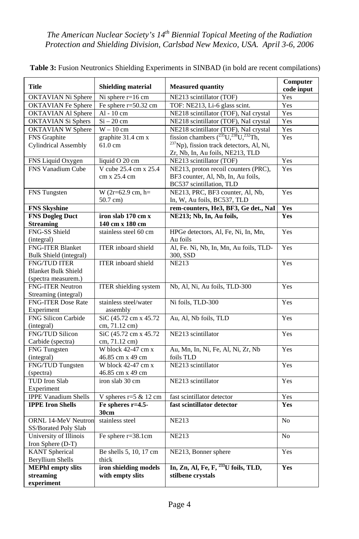| <b>Title</b>                      | <b>Shielding material</b>                  | <b>Measured quantity</b>                             | Computer<br>code input |
|-----------------------------------|--------------------------------------------|------------------------------------------------------|------------------------|
| OKTAVIAN Ni Sphere                | Ni sphere $r=16$ cm                        | NE213 scintillator (TOF)                             | Yes                    |
| <b>OKTAVIAN</b> Fe Sphere         | Fe sphere $r=50.32$ cm                     | TOF: NE213, Li-6 glass scint.                        | Yes                    |
| <b>OKTAVIAN Al Sphere</b>         | $Al - 10 cm$                               | NE218 scintillator (TOF), NaI crystal                | Yes                    |
| <b>OKTAVIAN Si Sphers</b>         | $Si - 20$ cm                               | NE218 scintillator (TOF), NaI crystal                | Yes                    |
| <b>OKTAVIAN W Sphere</b>          | $W - 10$ cm                                | NE218 scintillator (TOF), NaI crystal                | Yes                    |
| FNS Graphite                      | graphite 31.4 cm x                         | fission chambers $(^{235}U, ^{238}U, ^{232}Th,$      | Yes                    |
| <b>Cylindrical Assembly</b>       | $61.0 \text{ cm}$                          | <sup>237</sup> Np), fission track detectors, Al, Ni, |                        |
|                                   |                                            | Zr, Nb, In, Au foils, NE213, TLD                     |                        |
| FNS Liquid Oxygen                 | liquid O 20 cm                             | NE213 scintillator (TOF)                             | Yes                    |
| FNS Vanadium Cube                 | V cube 25.4 cm x 25.4                      | NE213, proton recoil counters (PRC),                 | Yes                    |
|                                   | cm x 25.4 cm                               | BF3 counter, Al, Nb, In, Au foils,                   |                        |
|                                   |                                            | BC537 scintillation, TLD                             |                        |
| FNS Tungsten                      | W $(2r=62.9 \text{ cm}, h=$                | NE213, PRC, BF3 counter, Al, Nb,                     | Yes                    |
|                                   | $50.7$ cm)                                 | In, W, Au foils, BC537, TLD                          |                        |
| <b>FNS Skyshine</b>               |                                            | rem-counters, He3, BF3, Ge det., NaI                 | Yes                    |
| <b>FNS Dogleg Duct</b>            | iron slab 170 cm x                         | NE213; Nb, In, Au foils,                             | Yes                    |
| <b>Streaming</b>                  | 140 cm x 180 cm                            |                                                      |                        |
| FNG-SS Shield                     | stainless steel 60 cm                      | HPGe detectors, Al, Fe, Ni, In, Mn,                  | Yes                    |
| (integral)                        |                                            | Au foils                                             |                        |
| <b>FNG-ITER Blanket</b>           | <b>ITER</b> inboard shield                 | Al, Fe. Ni, Nb, In, Mn, Au foils, TLD-               | Yes                    |
| Bulk Shield (integral)            |                                            | 300, SSD                                             |                        |
| <b>FNG/TUD ITER</b>               | <b>ITER</b> inboard shield                 | <b>NE213</b>                                         | Yes                    |
| <b>Blanket Bulk Shield</b>        |                                            |                                                      |                        |
| (spectra measurem.)               |                                            |                                                      |                        |
| <b>FNG-ITER Neutron</b>           | <b>ITER</b> shielding system               | Nb, Al, Ni, Au foils, TLD-300                        | Yes                    |
| Streaming (integral)              |                                            |                                                      |                        |
| <b>FNG-ITER Dose Rate</b>         | stainless steel/water                      | Ni foils, TLD-300                                    | Yes                    |
| Experiment                        | assembly                                   |                                                      |                        |
| <b>FNG Silicon Carbide</b>        | SiC (45.72 cm x 45.72)                     | Au, Al, Nb foils, TLD                                | Yes                    |
| (integral)                        | cm, 71.12 cm)                              |                                                      |                        |
| <b>FNG/TUD Silicon</b>            | SiC (45.72 cm x 45.72)                     | NE213 scintillator                                   | Yes                    |
| Carbide (spectra)                 | cm, 71.12 cm)                              |                                                      |                        |
| <b>FNG</b> Tungsten               | W block $42-47$ cm $x$                     | Au, Mn, In, Ni, Fe, Al, Ni, Zr, Nb<br>foils TLD      | Yes                    |
| (integral)<br>FNG/TUD Tungsten    | 46.85 cm x 49 cm<br>W block $42-47$ cm $x$ | NE213 scintillator                                   | Yes                    |
|                                   | 46.85 cm x 49 cm                           |                                                      |                        |
| (spectra)<br><b>TUD</b> Iron Slab | iron slab 30 cm                            | NE213 scintillator                                   | Yes                    |
| Experiment                        |                                            |                                                      |                        |
| <b>IPPE Vanadium Shells</b>       | V spheres $r=5$ & 12 cm                    | fast scintillator detector                           | Yes                    |
| <b>IPPE Iron Shells</b>           | Fe spheres $r=4.5$                         | fast scintillator detector                           | <b>Yes</b>             |
|                                   | 30cm                                       |                                                      |                        |
| <b>ORNL 14-MeV Neutron</b>        | stainless steel                            | <b>NE213</b>                                         | N <sub>o</sub>         |
| SS/Borated Poly Slab              |                                            |                                                      |                        |
| University of Illinois            | Fe sphere r=38.1cm                         | <b>NE213</b>                                         | No                     |
| Iron Sphere (D-T)                 |                                            |                                                      |                        |
| <b>KANT</b> Spherical             | Be shells 5, 10, 17 cm                     | NE213, Bonner sphere                                 | Yes                    |
| <b>Beryllium Shells</b>           | thick                                      |                                                      |                        |
| <b>MEPhI</b> empty slits          | iron shielding models                      | In, Zn, Al, Fe, F, <sup>233</sup> U foils, TLD,      | Yes                    |
| streaming                         | with empty slits                           | stilbene crystals                                    |                        |
| experiment                        |                                            |                                                      |                        |

**Table 3:** Fusion Neutronics Shielding Experiments in SINBAD (in bold are recent compilations)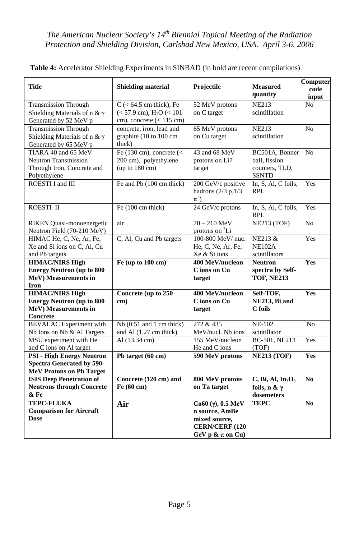| <b>Title</b>                                                                                            | <b>Shielding material</b>                                                                         | Projectile                                                                                                           | <b>Measured</b><br>quantity                                                        | Computer<br>code<br>input |
|---------------------------------------------------------------------------------------------------------|---------------------------------------------------------------------------------------------------|----------------------------------------------------------------------------------------------------------------------|------------------------------------------------------------------------------------|---------------------------|
| <b>Transmission Through</b><br>Shielding Materials of n & $\gamma$<br>Generated by 52 MeV p             | $C$ (< 64.5 cm thick), Fe<br>$(< 57.9$ cm), H <sub>2</sub> O $(< 101$<br>cm), concrete (< 115 cm) | 52 MeV protons<br>on C target                                                                                        | <b>NE213</b><br>scintillation                                                      | N <sub>0</sub>            |
| <b>Transmission Through</b><br>Shielding Materials of n & $\gamma$<br>Generated by 65 MeV p             | concrete, iron, lead and<br>graphite (10 to 100 cm)<br>thick)                                     | 65 MeV protons<br>on Cu target                                                                                       | <b>NE213</b><br>scintillation                                                      | N <sub>o</sub>            |
| TIARA 40 and 65 MeV<br><b>Neutron Transmission</b><br>Through Iron, Concrete and<br>Polyethylene        | Fe (130 cm), concrete $\left($ <<br>200 cm), polyethylene<br>(up to 180 cm)                       | 43 and 68 MeV<br>protons on Li7<br>target                                                                            | BC501A, Bonner<br>ball, fission<br>counters, TLD,<br><b>SSNTD</b>                  | No                        |
| ROESTI I and III                                                                                        | Fe and Pb (100 cm thick)                                                                          | 200 GeV/c positive<br>hadrons $(2/3 p, 1/3)$<br>$\pi^+$                                                              | In, S, Al, C foils,<br><b>RPL</b>                                                  | Yes                       |
| ROESTI II                                                                                               | Fe (100 cm thick)                                                                                 | 24 GeV/c protons                                                                                                     | In, S, Al, C foils,<br><b>RPL</b>                                                  | Yes                       |
| RIKEN Quasi-monoenergetic<br>Neutron Field (70-210 MeV)                                                 | air                                                                                               | $70 - 210 \text{ MeV}$<br>protons on <sup>7</sup> Li                                                                 | NE213 (TOF)                                                                        | N <sub>o</sub>            |
| HIMAC He, C, Ne, Ar, Fe,<br>Xe and Si ions on C, Al, Cu<br>and Pb targets                               | C, Al, Cu and Pb targets                                                                          | 100-800 MeV/ nuc.<br>He, C, Ne, Ar, Fe,<br>Xe & Si ions                                                              | NE213 &<br><b>NE102A</b><br>scintillators                                          | Yes                       |
| <b>HIMAC/NIRS High</b><br><b>Energy Neutron (up to 800</b><br>MeV) Measurements in<br>Iron              | Fe (up to 100 cm)                                                                                 | 400 MeV/nucleon<br>C ions on Cu<br>target                                                                            | Neutron<br>spectra by Self-<br><b>TOF, NE213</b>                                   | Yes                       |
| <b>HIMAC/NIRS High</b><br><b>Energy Neutron (up to 800</b><br>MeV) Measurements in<br>Concrete          | Concrete (up to 250<br>cm)                                                                        | 400 MeV/nucleon<br>C ions on Cu<br>target                                                                            | Self-TOF,<br>NE213, Bi and<br>C foils                                              | Yes                       |
| <b>BEVALAC</b> Experiment with<br>Nb Ions on Nb & Al Targets                                            | $Nb(0.51$ and 1 cm thick)<br>and Al (1.27 cm thick)                                               | 272 & 435<br>MeV/nucl. Nb ions                                                                                       | <b>NE-102</b><br>scintillator                                                      | N <sub>o</sub>            |
| MSU experiment with He<br>and C ions on Al target                                                       | Al (13.34 cm)                                                                                     | 155 MeV/nucleon<br>He and C ions                                                                                     | BC-501, NE213<br>(TOF)                                                             | Yes                       |
| <b>PSI - High Energy Neutron</b><br><b>Spectra Generated by 590-</b><br><b>MeV Protons on Pb Target</b> | Pb target (60 cm)                                                                                 | 590 MeV protons                                                                                                      | <b>NE213 (TOF)</b>                                                                 | <b>Yes</b>                |
| <b>ISIS Deep Penetration of</b><br><b>Neutrons through Concrete</b><br>& Fe                             | Concrete (120 cm) and<br>Fe (60 cm)                                                               | 800 MeV protons<br>on Ta target                                                                                      | $C$ , Bi, Al, In <sub>2</sub> O <sub>3</sub><br>foils, $n \& \gamma$<br>dosemeters | N <sub>0</sub>            |
| <b>TEPC-FLUKA</b><br><b>Comparison for Aircraft</b><br><b>Dose</b>                                      | Air                                                                                               | $Co60 (\gamma), 0.5 \text{ MeV}$<br>n source, AmBe<br>mixed source,<br><b>CERN/CERF (120</b><br>GeV p & $\pi$ on Cu) | <b>TEPC</b>                                                                        | N <sub>0</sub>            |

**Table 4:** Accelerator Shielding Experiments in SINBAD (in bold are recent compilations)